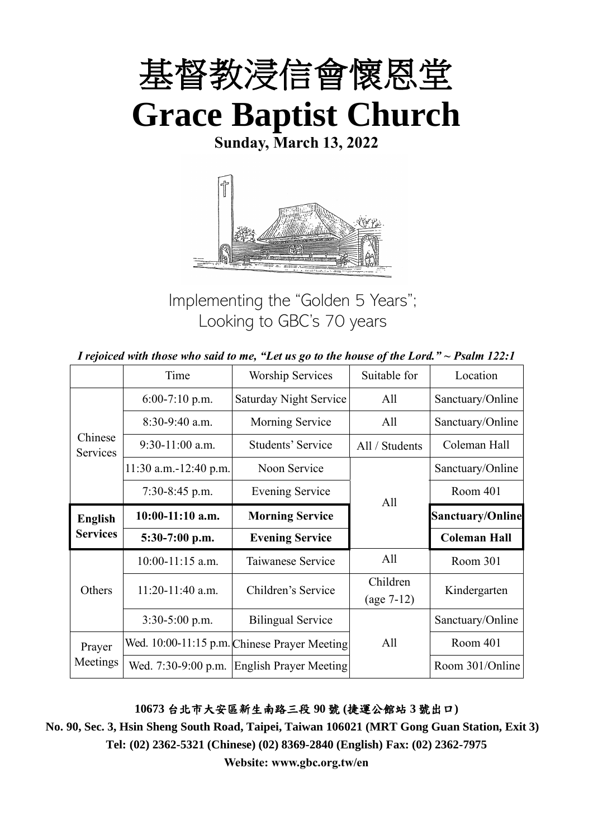

**Sunday, March 13, 2022**



Implementing the "Golden 5 Years"; Looking to GBC's 70 years

| I rejoiced with those who said to me, "Let us go to the house of the Lord." $\sim$ Psalm 122:1 |  |  |
|------------------------------------------------------------------------------------------------|--|--|
|------------------------------------------------------------------------------------------------|--|--|

|                     | Time                  | <b>Worship Services</b><br>Suitable for      |                          | Location                |  |
|---------------------|-----------------------|----------------------------------------------|--------------------------|-------------------------|--|
|                     | $6:00-7:10$ p.m.      | Saturday Night Service                       | All                      | Sanctuary/Online        |  |
|                     | 8:30-9:40 a.m.        | Morning Service                              | All                      | Sanctuary/Online        |  |
| Chinese<br>Services | $9:30-11:00$ a.m.     | Students' Service                            | All / Students           | Coleman Hall            |  |
|                     | 11:30 a.m.-12:40 p.m. | Noon Service                                 |                          | Sanctuary/Online        |  |
|                     | $7:30-8:45$ p.m.      | <b>Evening Service</b>                       | All                      | Room 401                |  |
| <b>English</b>      | $10:00-11:10$ a.m.    | <b>Morning Service</b>                       |                          | <b>Sanctuary/Online</b> |  |
| <b>Services</b>     | 5:30-7:00 p.m.        | <b>Evening Service</b>                       |                          | <b>Coleman Hall</b>     |  |
|                     | $10:00-11:15$ a.m.    | Taiwanese Service                            | All                      | Room 301                |  |
| Others              | $11:20-11:40$ a.m.    | Children's Service                           | Children<br>$(age 7-12)$ | Kindergarten            |  |
|                     | $3:30-5:00$ p.m.      | <b>Bilingual Service</b>                     |                          | Sanctuary/Online        |  |
| Prayer              |                       | Wed. 10:00-11:15 p.m. Chinese Prayer Meeting | All                      | Room 401                |  |
| Meetings            | Wed. 7:30-9:00 p.m.   | <b>English Prayer Meeting</b>                |                          | Room 301/Online         |  |

#### **10673** 台北市大安區新生南路三段 **90** 號 **(**捷運公館站 **3** 號出口**)**

**No. 90, Sec. 3, Hsin Sheng South Road, Taipei, Taiwan 106021 (MRT Gong Guan Station, Exit 3) Tel: (02) 2362-5321 (Chinese) (02) 8369-2840 (English) Fax: (02) 2362-7975**

**Website: www.gbc.org.tw/en**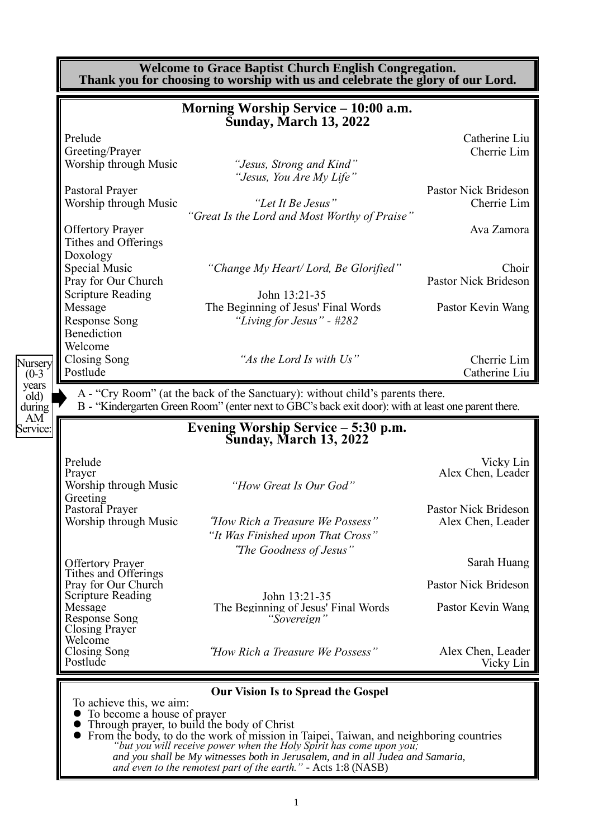|                                                 | Morning Worship Service - 10:00 a.m.<br><b>Sunday, March 13, 2022</b>                                                                                                                                            |                                                                                                             |
|-------------------------------------------------|------------------------------------------------------------------------------------------------------------------------------------------------------------------------------------------------------------------|-------------------------------------------------------------------------------------------------------------|
| Prelude                                         |                                                                                                                                                                                                                  | Catherine Liu                                                                                               |
| Greeting/Prayer                                 |                                                                                                                                                                                                                  | Cherrie Lim                                                                                                 |
| Worship through Music                           | "Jesus, Strong and Kind"<br>"Jesus, You Are My Life"                                                                                                                                                             |                                                                                                             |
| Pastoral Prayer                                 |                                                                                                                                                                                                                  | Pastor Nick Brideson                                                                                        |
| Worship through Music                           | "Let It Be Jesus"                                                                                                                                                                                                | Cherrie Lim                                                                                                 |
|                                                 | "Great Is the Lord and Most Worthy of Praise"                                                                                                                                                                    |                                                                                                             |
| <b>Offertory Prayer</b>                         |                                                                                                                                                                                                                  | Ava Zamora                                                                                                  |
| Tithes and Offerings                            |                                                                                                                                                                                                                  |                                                                                                             |
| Doxology                                        |                                                                                                                                                                                                                  |                                                                                                             |
| <b>Special Music</b>                            | "Change My Heart/Lord, Be Glorified"                                                                                                                                                                             | Choir<br><b>Pastor Nick Brideson</b>                                                                        |
| Pray for Our Church<br><b>Scripture Reading</b> | John 13:21-35                                                                                                                                                                                                    |                                                                                                             |
| Message                                         | The Beginning of Jesus' Final Words                                                                                                                                                                              | Pastor Kevin Wang                                                                                           |
| <b>Response Song</b>                            | "Living for Jesus" - #282                                                                                                                                                                                        |                                                                                                             |
| Benediction                                     |                                                                                                                                                                                                                  |                                                                                                             |
| Welcome                                         |                                                                                                                                                                                                                  |                                                                                                             |
|                                                 |                                                                                                                                                                                                                  |                                                                                                             |
| <b>Closing Song</b><br>Postlude                 | "As the Lord Is with Us"<br>A - "Cry Room" (at the back of the Sanctuary): without child's parents there.<br>B - "Kindergarten Green Room" (enter next to GBC's back exit door): with at least one parent there. |                                                                                                             |
|                                                 | Evening Worship Service – 5:30 p.m.                                                                                                                                                                              |                                                                                                             |
|                                                 | <b>Sunday, March 13, 2022</b>                                                                                                                                                                                    |                                                                                                             |
| Prelude<br>Prayer                               |                                                                                                                                                                                                                  |                                                                                                             |
| Worship through Music                           | "How Great Is Our God"                                                                                                                                                                                           |                                                                                                             |
| Greeting                                        |                                                                                                                                                                                                                  |                                                                                                             |
| Pastoral Prayer                                 |                                                                                                                                                                                                                  |                                                                                                             |
| Worship through Music                           | "How Rich a Treasure We Possess"                                                                                                                                                                                 |                                                                                                             |
|                                                 | "It Was Finished upon That Cross"<br>"The Goodness of Jesus"                                                                                                                                                     | Cherrie Lim<br>Catherine Liu<br>Vicky Lin<br>Alex Chen, Leader<br>Pastor Nick Brideson<br>Alex Chen, Leader |
| <b>Offertory Prayer</b>                         |                                                                                                                                                                                                                  |                                                                                                             |
| Tithes and Offerings                            |                                                                                                                                                                                                                  |                                                                                                             |
| Pray for Our Church<br><b>Scripture Reading</b> | John 13:21-35                                                                                                                                                                                                    | Sarah Huang<br>Pastor Nick Brideson                                                                         |
| Message                                         | The Beginning of Jesus' Final Words                                                                                                                                                                              |                                                                                                             |
| <b>Response Song</b>                            | "Sovereign"                                                                                                                                                                                                      |                                                                                                             |
| Closing Prayer<br>Welcome                       |                                                                                                                                                                                                                  | Pastor Kevin Wang                                                                                           |
| Closing Song<br>Postlude                        | "How Rich a Treasure We Possess"                                                                                                                                                                                 | Alex Chen, Leader<br>Vicky Lin                                                                              |

⚫ From the body, to do the work of mission in Taipei, Taiwan, and neighboring countries *"but you will receive power when the Holy Spirit has come upon you; and you shall be My witnesses both in Jerusalem, and in all Judea and Samaria, and even to the remotest part of the earth." -* Acts 1:8 (NASB)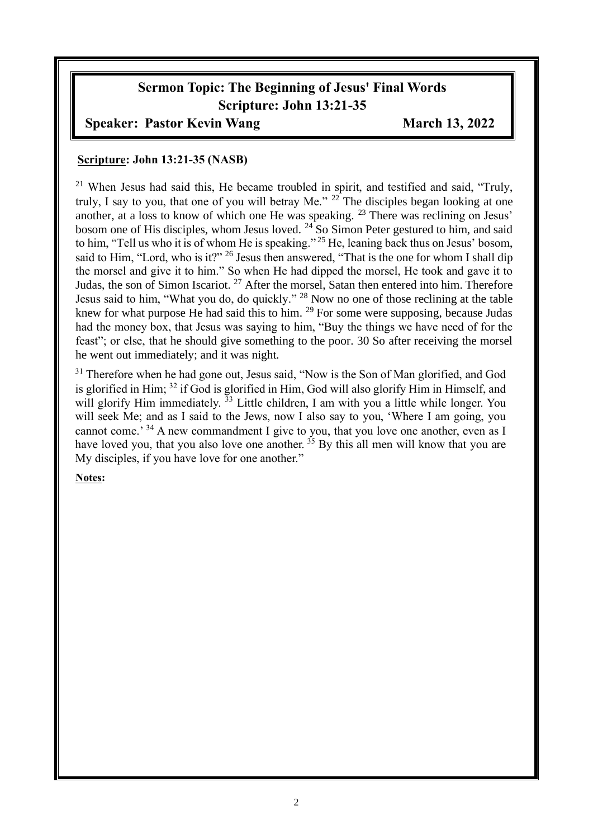# **Sermon Topic: The Beginning of Jesus' Final Words Scripture: John 13:21-35**

#### **Speaker: Pastor Kevin Wang March 13, 2022**

#### **Scripture: John 13:21-35 (NASB)**

<sup>21</sup> When Jesus had said this, He became troubled in spirit, and testified and said, "Truly, truly, I say to you, that one of you will betray Me." <sup>22</sup> The disciples began looking at one another, at a loss to know of which one He was speaking. <sup>23</sup> There was reclining on Jesus' bosom one of His disciples, whom Jesus loved. <sup>24</sup> So Simon Peter gestured to him, and said to him, "Tell us who it is of whom He is speaking." <sup>25</sup> He, leaning back thus on Jesus' bosom, said to Him, "Lord, who is it?" <sup>26</sup> Jesus then answered, "That is the one for whom I shall dip the morsel and give it to him." So when He had dipped the morsel, He took and gave it to Judas, the son of Simon Iscariot. <sup>27</sup> After the morsel, Satan then entered into him. Therefore Jesus said to him, "What you do, do quickly." <sup>28</sup> Now no one of those reclining at the table knew for what purpose He had said this to him. <sup>29</sup> For some were supposing, because Judas had the money box, that Jesus was saying to him, "Buy the things we have need of for the feast"; or else, that he should give something to the poor. 30 So after receiving the morsel he went out immediately; and it was night.

<sup>31</sup> Therefore when he had gone out, Jesus said, "Now is the Son of Man glorified, and God is glorified in Him; <sup>32</sup> if God is glorified in Him, God will also glorify Him in Himself, and will glorify Him immediately.<sup>33</sup> Little children, I am with you a little while longer. You will seek Me; and as I said to the Jews, now I also say to you, 'Where I am going, you cannot come.<sup>34</sup> A new commandment I give to you, that you love one another, even as I have loved you, that you also love one another.  $35$  By this all men will know that you are My disciples, if you have love for one another."

#### **Notes:**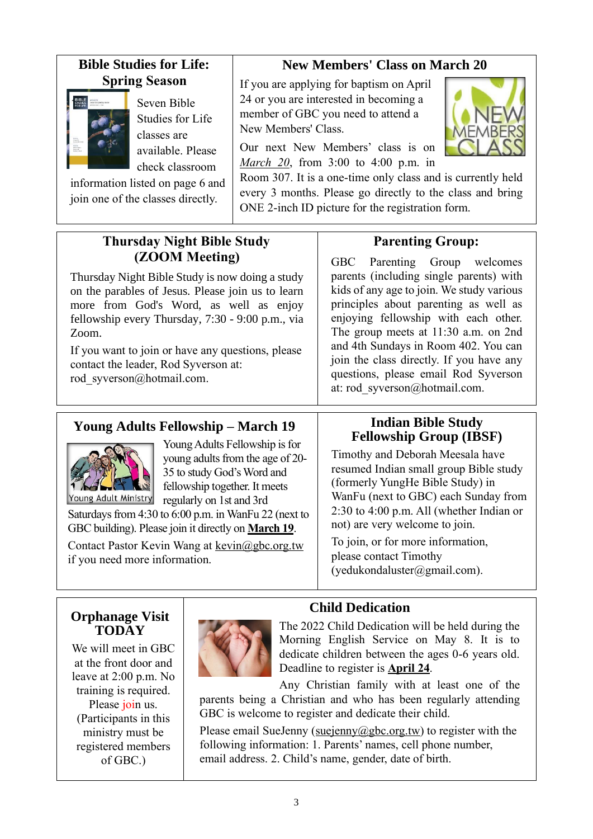### **Bible Studies for Life: Spring Season**



Seven Bible Studies for Life classes are available. Please check classroom

information listed on page 6 and join one of the classes directly.

# **New Members' Class on March 20**

If you are applying for baptism on April 24 or you are interested in becoming a member of GBC you need to attend a New Members' Class.

Our next New Members' class is on *March 20*, from 3:00 to 4:00 p.m. in

 $\ddot{\phantom{a}}$ 

Room 307. It is a one-time only class and is currently held every 3 months. Please go directly to the class and bring ONE 2-inch ID picture for the registration form.

### **Thursday Night Bible Study (ZOOM Meeting)**

Thursday Night Bible Study is now doing a study on the parables of Jesus. Please join us to learn more from God's Word, as well as enjoy fellowship every Thursday, 7:30 - 9:00 p.m., via Zoom.

If you want to join or have any questions, please contact the leader, Rod Syverson at: [rod\\_syverson@hotmail.com.](mailto:rod_syverson@hotmail.com)

# **Parenting Group:**

GBC Parenting Group welcomes parents (including single parents) with kids of any age to join. We study various principles about parenting as well as enjoying fellowship with each other. The group meets at 11:30 a.m. on 2nd and 4th Sundays in Room 402. You can join the class directly. If you have any questions, please email Rod Syverson at: rod\_syverson@hotmail.com.

# **Young Adults Fellowship – March 19**



Young Adults Fellowship is for young adults from the age of 20- 35 to study God's Word and fellowship together. It meets regularly on 1st and 3rd

Saturdays from 4:30 to 6:00 p.m. in WanFu 22 (next to GBC building). Please join it directly on **March 19**.

Contact Pastor Kevin Wang at kevin@gbc.org.tw if you need more information.

#### **Indian Bible Study Fellowship Group (IBSF)**

Timothy and Deborah Meesala have resumed Indian small group Bible study (formerly YungHe Bible Study) in WanFu (next to GBC) each Sunday from 2:30 to 4:00 p.m. All (whether Indian or not) are very welcome to join.

To join, or for more information, please contact Timothy (yedukondaluster@gmail.com).

### **Orphanage Visit TODAY**

We will meet in GBC at the front door and leave at 2:00 p.m. No training is required. Please join us. (Participants in this ministry must be registered members of GBC.)



# **Child Dedication**

The 2022 Child Dedication will be held during the Morning English Service on May 8. It is to dedicate children between the ages 0-6 years old. Deadline to register is **April 24**.

Any Christian family with at least one of the parents being a Christian and who has been regularly attending GBC is welcome to register and dedicate their child.

Please email SueJenny [\(suejenny@gbc.org.tw\)](mailto:suejenny@gbc.org.tw) to register with the following information: 1. Parents' names, cell phone number, email address. 2. Child's name, gender, date of birth.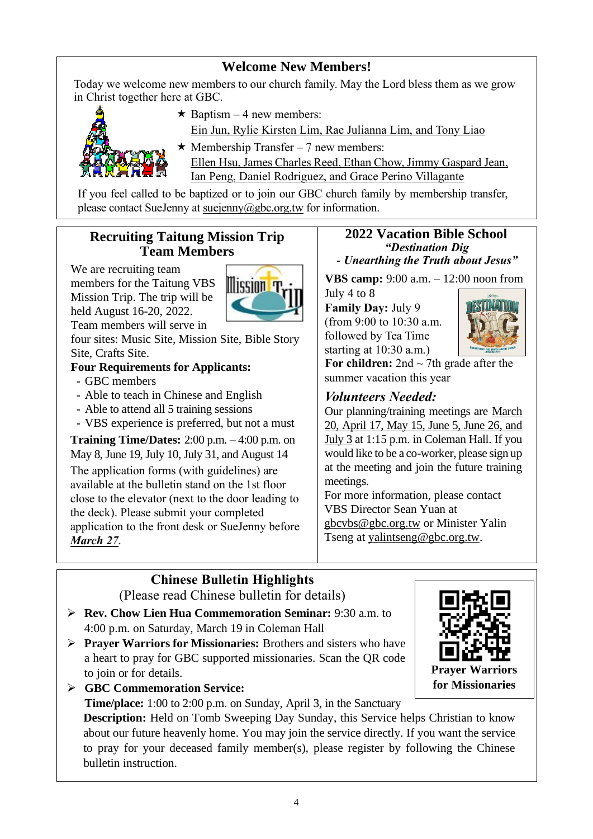### **Welcome New Members!**

Today we welcome new members to our church family. May the Lord bless them as we grow in Christ together here at GBC.



 $\star$  Baptism – 4 new members:

Ein Jun, Rylie Kirsten Lim, Rae Julianna Lim, and Tony Liao

- $\star$  Membership Transfer 7 new members:
	- Ellen Hsu, James Charles Reed, Ethan Chow, Jimmy Gaspard Jean, Ian Peng, Daniel Rodriguez, and Grace Perino Villagante

If you feel called to be baptized or to join our GBC church family by membership transfer, please contact SueJenny at [suejenny@gbc.org.tw](mailto:suejenny@gbc.org.tw) for information.

#### **Recruiting Taitung Mission Trip Team Members**

We are recruiting team members for the Taitung VBS Mission Trip. The trip will be held August 16-20, 2022. Team members will serve in



four sites: Music Site, Mission Site, Bible Story Site, Crafts Site.

#### **Four Requirements for Applicants:**

- GBC members
- Able to teach in Chinese and English
- Able to attend all 5 training sessions
- VBS experience is preferred, but not a must

**Training Time/Dates:** 2:00 p.m. – 4:00 p.m. on May 8, June 19, July 10, July 31, and August 14 The application forms (with guidelines) are available at the bulletin stand on the 1st floor close to the elevator (next to the door leading to the deck). Please submit your completed application to the front desk or SueJenny before *March 27*.

#### **2022 Vacation Bible School** *"Destination Dig - Unearthing the Truth about Jesus"*

**VBS camp:** 9:00 a.m. – 12:00 noon from

July 4 to 8 **Family Day:** July 9 (from 9:00 to 10:30 a.m. followed by Tea Time starting at 10:30 a.m.)



For children:  $2nd \sim 7th$  grade after the summer vacation this year

### *Volunteers Needed:*

Our planning/training meetings are March 20, April 17, May 15, June 5, June 26, and July 3 at 1:15 p.m. in Coleman Hall. If you would like to be a co-worker, please sign up at the meeting and join the future training meetings.

For more information, please contact VBS Director Sean Yuan at [gbcvbs@gbc.org.tw](mailto:gbcvbs@gbc.org.tw) or Minister Yalin Tseng at yalintseng@gbc.org.tw.

# **Chinese Bulletin Highlights**

(Please read Chinese bulletin for details)

- ➢ **Rev. Chow Lien Hua Commemoration Seminar:** 9:30 a.m. to 4:00 p.m. on Saturday, March 19 in Coleman Hall
- ➢ **Prayer Warriors for Missionaries:** Brothers and sisters who have a heart to pray for GBC supported missionaries. Scan the QR code to join or for details.



➢ **GBC Commemoration Service:** 

**Time/place:** 1:00 to 2:00 p.m. on Sunday, April 3, in the Sanctuary

**Description:** Held on Tomb Sweeping Day Sunday, this Service helps Christian to know about our future heavenly home. You may join the service directly. If you want the service to pray for your deceased family member(s), please register by following the Chinese bulletin instruction.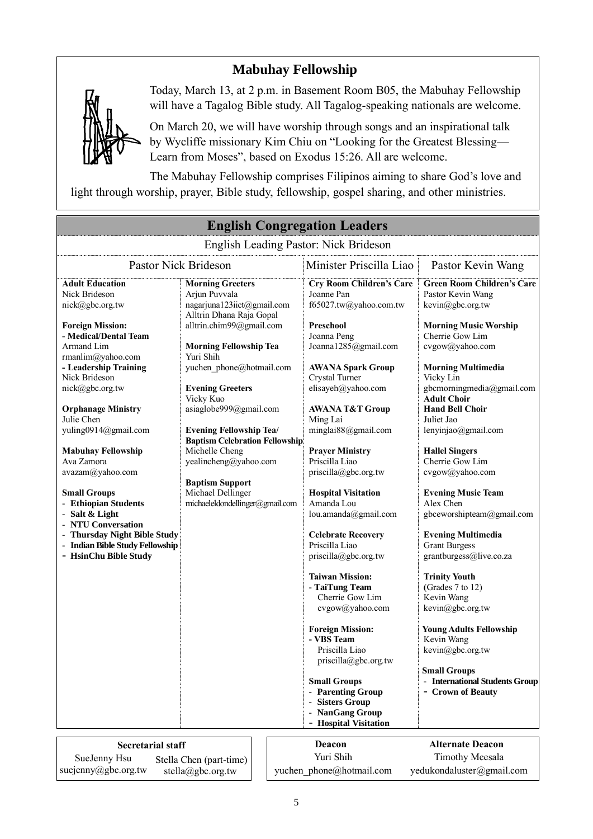# **Mabuhay Fellowship**



Today, March 13, at 2 p.m. in Basement Room B05, the Mabuhay Fellowship will have a Tagalog Bible study. All Tagalog-speaking nationals are welcome.

On March 20, we will have worship through songs and an inspirational talk by Wycliffe missionary Kim Chiu on "Looking for the Greatest Blessing— Learn from Moses", based on Exodus 15:26. All are welcome.

The Mabuhay Fellowship comprises Filipinos aiming to share God's love and light through worship, prayer, Bible study, fellowship, gospel sharing, and other ministries.

|                                          |                                       |                                                       | <b>English Congregation Leaders</b>    |                                              |  |
|------------------------------------------|---------------------------------------|-------------------------------------------------------|----------------------------------------|----------------------------------------------|--|
|                                          |                                       |                                                       | English Leading Pastor: Nick Brideson  |                                              |  |
| Pastor Nick Brideson                     |                                       |                                                       | Minister Priscilla Liao                | Pastor Kevin Wang                            |  |
| <b>Adult Education</b>                   | <b>Morning Greeters</b>               |                                                       | <b>Cry Room Children's Care</b>        | <b>Green Room Children's Care</b>            |  |
| Nick Brideson                            | Arjun Puvvala                         |                                                       | Joanne Pan                             | Pastor Kevin Wang                            |  |
| nick@gbc.org.tw                          | nagarjuna123iict@gmail.com            |                                                       | f65027.tw@yahoo.com.tw                 | kevin@gbc.org.tw                             |  |
|                                          | Alltrin Dhana Raja Gopal              |                                                       |                                        |                                              |  |
| <b>Foreign Mission:</b>                  | alltrin.chim99@gmail.com              |                                                       | Preschool                              | <b>Morning Music Worship</b>                 |  |
| - Medical/Dental Team                    |                                       |                                                       | Joanna Peng                            | Cherrie Gow Lim                              |  |
| Armand Lim                               | <b>Morning Fellowship Tea</b>         |                                                       | Joanna1285@gmail.com                   | cvgow@yahoo.com                              |  |
| rmanlim@yahoo.com                        | Yuri Shih                             |                                                       |                                        |                                              |  |
| - Leadership Training                    | yuchen phone@hotmail.com              |                                                       | <b>AWANA Spark Group</b>               | <b>Morning Multimedia</b>                    |  |
| Nick Brideson                            |                                       |                                                       | Crystal Turner                         | Vicky Lin                                    |  |
| nick@gbc.org.tw                          | <b>Evening Greeters</b>               |                                                       | elisayeh@yahoo.com                     | gbcmorningmedia@gmail.com                    |  |
|                                          | Vicky Kuo                             |                                                       |                                        | <b>Adult Choir</b><br><b>Hand Bell Choir</b> |  |
| <b>Orphanage Ministry</b><br>Julie Chen  | asiaglobe999@gmail.com                |                                                       | <b>AWANA T&amp;T Group</b><br>Ming Lai | Juliet Jao                                   |  |
| yuling0914@gmail.com                     | <b>Evening Fellowship Tea/</b>        |                                                       | minglai88@gmail.com                    | lenyinjao@gmail.com                          |  |
|                                          | <b>Baptism Celebration Fellowship</b> |                                                       |                                        |                                              |  |
| <b>Mabuhay Fellowship</b>                | Michelle Cheng                        |                                                       | <b>Prayer Ministry</b>                 | <b>Hallel Singers</b>                        |  |
| Ava Zamora                               | yealincheng@yahoo.com                 |                                                       | Priscilla Liao                         | Cherrie Gow Lim                              |  |
| avazam@yahoo.com                         |                                       |                                                       | priscilla@gbc.org.tw                   | cvgow@yahoo.com                              |  |
|                                          | <b>Baptism Support</b>                |                                                       |                                        |                                              |  |
| <b>Small Groups</b>                      | Michael Dellinger                     |                                                       | <b>Hospital Visitation</b>             | <b>Evening Music Team</b>                    |  |
| - Ethiopian Students                     | michaeleldondellinger@gmail.com       |                                                       | Amanda Lou                             | Alex Chen                                    |  |
| - Salt & Light                           |                                       |                                                       | lou.amanda@gmail.com                   | gbceworshipteam@gmail.com                    |  |
| - NTU Conversation                       |                                       |                                                       |                                        |                                              |  |
| <b>Thursday Night Bible Study</b>        |                                       |                                                       | <b>Celebrate Recovery</b>              | <b>Evening Multimedia</b>                    |  |
| - Indian Bible Study Fellowship          |                                       |                                                       | Priscilla Liao                         | <b>Grant Burgess</b>                         |  |
| - HsinChu Bible Study                    |                                       |                                                       | priscilla@gbc.org.tw                   | grantburgess@live.co.za                      |  |
|                                          |                                       |                                                       | <b>Taiwan Mission:</b>                 | <b>Trinity Youth</b>                         |  |
|                                          |                                       |                                                       | - TaiTung Team                         | (Grades 7 to 12)                             |  |
|                                          |                                       |                                                       | Cherrie Gow Lim                        | Kevin Wang                                   |  |
|                                          |                                       |                                                       | cvgow@yahoo.com                        | kevin@gbc.org.tw                             |  |
|                                          |                                       |                                                       | <b>Foreign Mission:</b>                | <b>Young Adults Fellowship</b>               |  |
|                                          |                                       |                                                       | - VBS Team                             | Kevin Wang                                   |  |
|                                          |                                       |                                                       | Priscilla Liao                         | kevin@gbc.org.tw                             |  |
|                                          |                                       |                                                       | priscilla@gbc.org.tw                   |                                              |  |
|                                          |                                       |                                                       |                                        | <b>Small Groups</b>                          |  |
|                                          |                                       |                                                       | <b>Small Groups</b>                    | - International Students Group               |  |
|                                          |                                       |                                                       | - Parenting Group                      | - Crown of Beauty                            |  |
|                                          |                                       |                                                       | <b>Sisters Group</b>                   |                                              |  |
|                                          |                                       |                                                       | <b>NanGang Group</b>                   |                                              |  |
|                                          |                                       |                                                       | - Hospital Visitation                  |                                              |  |
| <b>Secretarial staff</b>                 |                                       |                                                       | Deacon                                 | <b>Alternate Deacon</b>                      |  |
| SueJenny Hsu                             |                                       |                                                       | Yuri Shih                              | <b>Timothy Meesala</b>                       |  |
|                                          | Stella Chen (part-time)               |                                                       |                                        |                                              |  |
| suejenny@gbc.org.tw<br>stella@gbc.org.tw |                                       | yedukondaluster@gmail.com<br>yuchen phone@hotmail.com |                                        |                                              |  |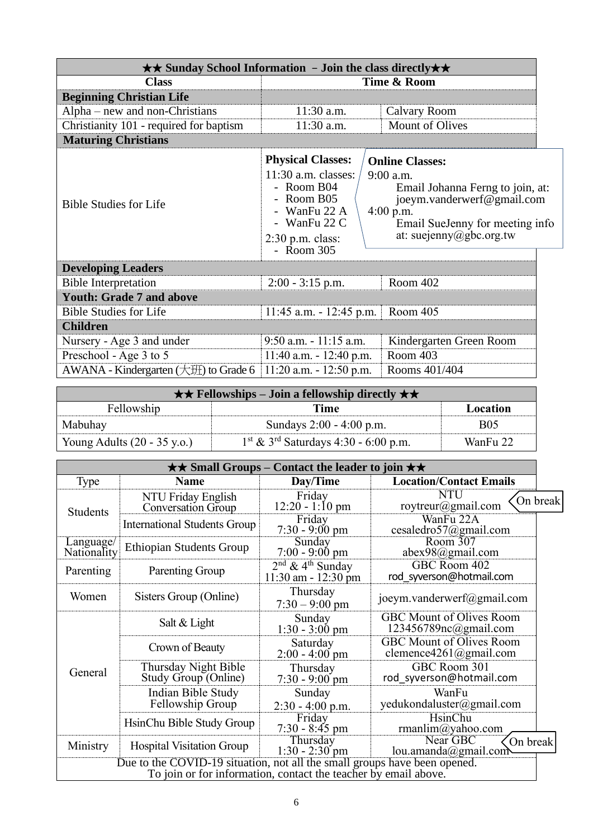|                                           | $\star\star$ Sunday School Information - Join the class directly $\star\star$                                                                       |                                                                                                                                                                                      |
|-------------------------------------------|-----------------------------------------------------------------------------------------------------------------------------------------------------|--------------------------------------------------------------------------------------------------------------------------------------------------------------------------------------|
| <b>Class</b>                              |                                                                                                                                                     | Time & Room                                                                                                                                                                          |
| <b>Beginning Christian Life</b>           |                                                                                                                                                     |                                                                                                                                                                                      |
| Alpha – new and non-Christians            | 11:30 a.m.                                                                                                                                          | Calvary Room                                                                                                                                                                         |
| Christianity 101 - required for baptism   | 11:30 a.m.                                                                                                                                          | <b>Mount of Olives</b>                                                                                                                                                               |
| <b>Maturing Christians</b>                |                                                                                                                                                     |                                                                                                                                                                                      |
| <b>Bible Studies for Life</b>             | <b>Physical Classes:</b><br>$11:30$ a.m. classes:<br>- Room $B04$<br>Room B05<br>- WanFu 22 A<br>- WanFu $22 C$<br>$2:30$ p.m. class:<br>- Room 305 | <b>Online Classes:</b><br>$9:00$ a.m.<br>Email Johanna Ferng to join, at:<br>joeym.vanderwerf@gmail.com<br>$4:00$ p.m.<br>Email SueJenny for meeting info<br>at: suejenny@gbc.org.tw |
| <b>Developing Leaders</b>                 |                                                                                                                                                     |                                                                                                                                                                                      |
| <b>Bible Interpretation</b>               | $2:00 - 3:15$ p.m.                                                                                                                                  | Room 402                                                                                                                                                                             |
| <b>Youth: Grade 7 and above</b>           |                                                                                                                                                     |                                                                                                                                                                                      |
| <b>Bible Studies for Life</b>             | $11:45$ a.m. $-12:45$ p.m.                                                                                                                          | Room 405                                                                                                                                                                             |
| <b>Children</b>                           |                                                                                                                                                     |                                                                                                                                                                                      |
| Nursery - Age 3 and under                 | $9:50$ a.m. $-11:15$ a.m.                                                                                                                           | Kindergarten Green Room                                                                                                                                                              |
| Preschool - Age 3 to 5                    | $11:40$ a.m. $-12:40$ p.m.                                                                                                                          | Room 403                                                                                                                                                                             |
| AWANA - Kindergarten $(\pm 1)$ to Grade 6 | 11:20 a.m. - 12:50 p.m.                                                                                                                             | Rooms 401/404                                                                                                                                                                        |

| $\star \star$ Fellowships – Join a fellowship directly $\star \star$ |                                                    |            |  |
|----------------------------------------------------------------------|----------------------------------------------------|------------|--|
| Fellowship<br>Time<br>Location                                       |                                                    |            |  |
| Mabuhay                                                              | Sundays 2:00 - 4:00 p.m.                           | <b>B05</b> |  |
| Young Adults $(20 - 35 \text{ y.o.})$                                | $1st$ & 3 <sup>rd</sup> Saturdays 4:30 - 6:00 p.m. | WanFu 22   |  |

| $\star\star$ Small Groups – Contact the leader to join $\star\star$                                                                          |                                              |                                                           |                                                                    |          |
|----------------------------------------------------------------------------------------------------------------------------------------------|----------------------------------------------|-----------------------------------------------------------|--------------------------------------------------------------------|----------|
| Type                                                                                                                                         | <b>Name</b>                                  | Day/Time                                                  | <b>Location/Contact Emails</b>                                     |          |
| <b>Students</b>                                                                                                                              | NTU Friday English<br>Conversation Group     | Friday<br>$12:20 - 1:10 \text{ pm}$                       | <b>NTU</b><br>roytreur@gmail.com                                   | On break |
|                                                                                                                                              | <b>International Students Group</b>          | Friday<br>$7:30 - 9:00 \text{ pm}$                        | WanFu 22A<br>cesaledro57@gmail.com                                 |          |
| Language/<br>Nationality                                                                                                                     | <b>Ethiopian Students Group</b>              | Sunday<br>$7:00 - 9:00$ pm                                | Room 307<br>abex98@gmail.com                                       |          |
| Parenting                                                                                                                                    | Parenting Group                              | $2nd$ & 4 <sup>th</sup> Sunday<br>$11:30$ am - $12:30$ pm | GBC Room 402<br>rod syverson@hotmail.com                           |          |
| Women                                                                                                                                        | Sisters Group (Online)                       | Thursday<br>$7:30 - 9:00$ pm                              | joeym.vanderwerf@gmail.com                                         |          |
|                                                                                                                                              | Salt & Light                                 | Sunday<br>$1:30 - 3:00$ pm                                | <b>GBC</b> Mount of Olives Room<br>$123456789nc(\omega)$ gmail.com |          |
|                                                                                                                                              | Crown of Beauty                              | Saturday<br>$2:00 - 4:00$ pm                              | <b>GBC Mount of Olives Room</b><br>clemence4261@gmail.com          |          |
| General                                                                                                                                      | Thursday Night Bible<br>Study Group (Online) | Thursday<br>$7:30 - 9:00$ pm                              | GBC Room 301<br>rod syverson@hotmail.com                           |          |
|                                                                                                                                              | Indian Bible Study<br>Fellowship Group       | Sunday<br>$2:30 - 4:00$ p.m.                              | WanFu<br>yedukondaluster@gmail.com                                 |          |
|                                                                                                                                              | HsinChu Bible Study Group                    | Friday<br>$7:30 - 8:45$ pm                                | HsinChu<br>rmanlim@yahoo.com                                       |          |
| Ministry                                                                                                                                     | <b>Hospital Visitation Group</b>             | Thursday<br>$1:30 - 2:30$ pm                              | Near GBC<br>On break<br>lou.amanda@gmail.com                       |          |
| Due to the COVID-19 situation, not all the small groups have been opened.<br>To join or for information, contact the teacher by email above. |                                              |                                                           |                                                                    |          |